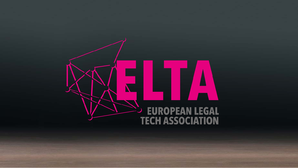# EUROPEAN LEGAL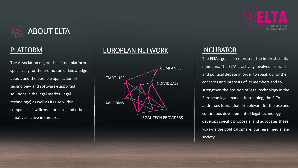

The Association regards itself as a platform specifically for the promotion of knowledge about, and the possible application of technology- and software-supported solutions in the legal market (legal technology) as well as its use within companies, law firms, start-ups, and other initiatives active in this area.

### PLATFORM EUROPEAN NETWORK INCUBATOR



The ELTA's goal is to represent the interests of its members. The ELTA is actively involved in social and political debate in order to speak up for the concerns and interests of its members and to strengthen the position of legal technology in the European legal market. In so doing, the ELTA addresses topics that are relevant for the use and continuous development of legal technology, develops specific proposals, and advocates these vis-á-vis the political sphere, business, media, and society.

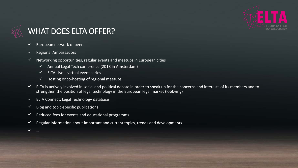

# WHAT DOES ELTA OFFER?

- $\checkmark$  European network of peers
- $\checkmark$  Regional Ambassadors
- $\checkmark$  Networking opportunities, regular events and meetups in European cities
	- $\checkmark$  Annual Legal Tech conference (2018 in Amsterdam)
	- ELTA Live virtual event series
	- $\checkmark$  Hosting or co-hosting of regional meetups
- $\checkmark$  ELTA is actively involved in social and political debate in order to speak up for the concerns and interests of its members and to strengthen the position of legal technology in the European legal market (lobbying)
- $\checkmark$  ELTA Connect: Legal Technology database
- $\checkmark$  Blog and topic-specific publications
- $\checkmark$  Reduced fees for events and educational programms
- $\checkmark$  Regular information about important and current topics, trends and developments
- …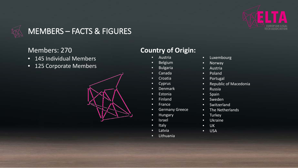

# MEMBERS – FACTS & FIGURES

#### Members: 270

- 145 Individual Members
- 125 Corporate Members



# **Country of Origin:**

- Austria
- Belgium
- **Bulgaria**
- Canada
- Croatia
- Cyprus
- Denmark
- Estonia
- Finland
- France
- Germany Greece
- Hungary
- Israel
- Italy
- **Latvia**
- Lithuania
- Luxembourg
- Norway
- Austria
- Poland
- Portugal
- Republic of Macedonia
- Russia
- Spain
- Sweden
- Switzerland
- The Netherlands
- Turkey
- Ukraine
- UK
- USA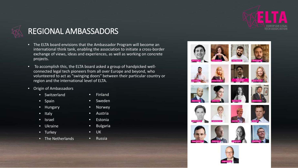

# REGIONAL AMBASSADORS

- The ELTA board envisions that the Ambassador Program will become an international think tank, enabling the association to initiate a cross-border exchange of views, ideas and experiences, as well as working on concrete projects.
- To accomplish this, the ELTA board asked a group of handpicked wellconnected legal tech pioneers from all over Europe and beyond, who volunteered to act as "swinging doors" between their particular country or region and the international level of ELTA.
- Origin of Ambassadors
	- Switzerland

• Finland

- Spain
- Hungary
- Italy
- Israel
- Ukraine
- Turkey
- The Netherlands
- 
- Russia
- Sweden
- Norwey
- Austria
- Estonia
- Bulgaria
- UK
	-



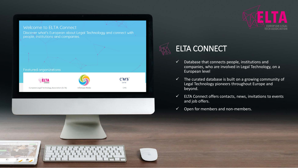



- $\checkmark$  Database that connects people, institutions and companies, who are involved in Legal Technology, on a European level
- $\checkmark$  The curated database is built on a growing community of Legal Technology pioneers throughout Europe and beyond.
- $\checkmark$  ELTA Connect offers contacts, news, invitations to events and job offers.
- $\checkmark$  Open for members and non-members.

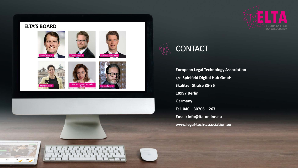

#### **ELTA'S BOARD**















**European Legal Technology Association c/o Spielfeld Digital Hub GmbH Skalitzer Straße 85-86 10997 Berlin Germany Tel. 040 – 30706 – 267 Email: info@lta-online.eu www.legal-tech-association.eu**